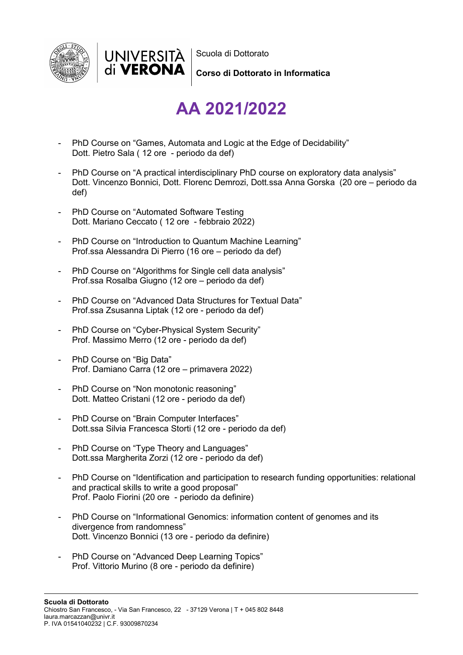



Scuola di Dottorato

**Corso di Dottorato in Informatica**

## **AA 2021/2022**

- PhD Course on "Games, Automata and Logic at the Edge of Decidability" Dott. Pietro Sala ( 12 ore - periodo da def)
- PhD Course on "A practical interdisciplinary PhD course on exploratory data analysis" Dott. Vincenzo Bonnici, Dott. Florenc Demrozi, Dott.ssa Anna Gorska (20 ore – periodo da def)
- PhD Course on "Automated Software Testing Dott. Mariano Ceccato ( 12 ore - febbraio 2022)
- PhD Course on "Introduction to Quantum Machine Learning" Prof.ssa Alessandra Di Pierro (16 ore – periodo da def)
- PhD Course on "Algorithms for Single cell data analysis" Prof.ssa Rosalba Giugno (12 ore – periodo da def)
- PhD Course on "Advanced Data Structures for Textual Data" Prof.ssa Zsusanna Liptak (12 ore - periodo da def)
- PhD Course on "Cyber-Physical System Security" Prof. Massimo Merro (12 ore - periodo da def)
- PhD Course on "Big Data" Prof. Damiano Carra (12 ore – primavera 2022)
- PhD Course on "Non monotonic reasoning" Dott. Matteo Cristani (12 ore - periodo da def)
- PhD Course on "Brain Computer Interfaces" Dott.ssa Silvia Francesca Storti (12 ore - periodo da def)
- PhD Course on "Type Theory and Languages" Dott.ssa Margherita Zorzi (12 ore - periodo da def)
- PhD Course on "Identification and participation to research funding opportunities: relational and practical skills to write a good proposal" Prof. Paolo Fiorini (20 ore - periodo da definire)
- PhD Course on "Informational Genomics: information content of genomes and its divergence from randomness" Dott. Vincenzo Bonnici (13 ore - periodo da definire)
- PhD Course on "Advanced Deep Learning Topics" Prof. Vittorio Murino (8 ore - periodo da definire)